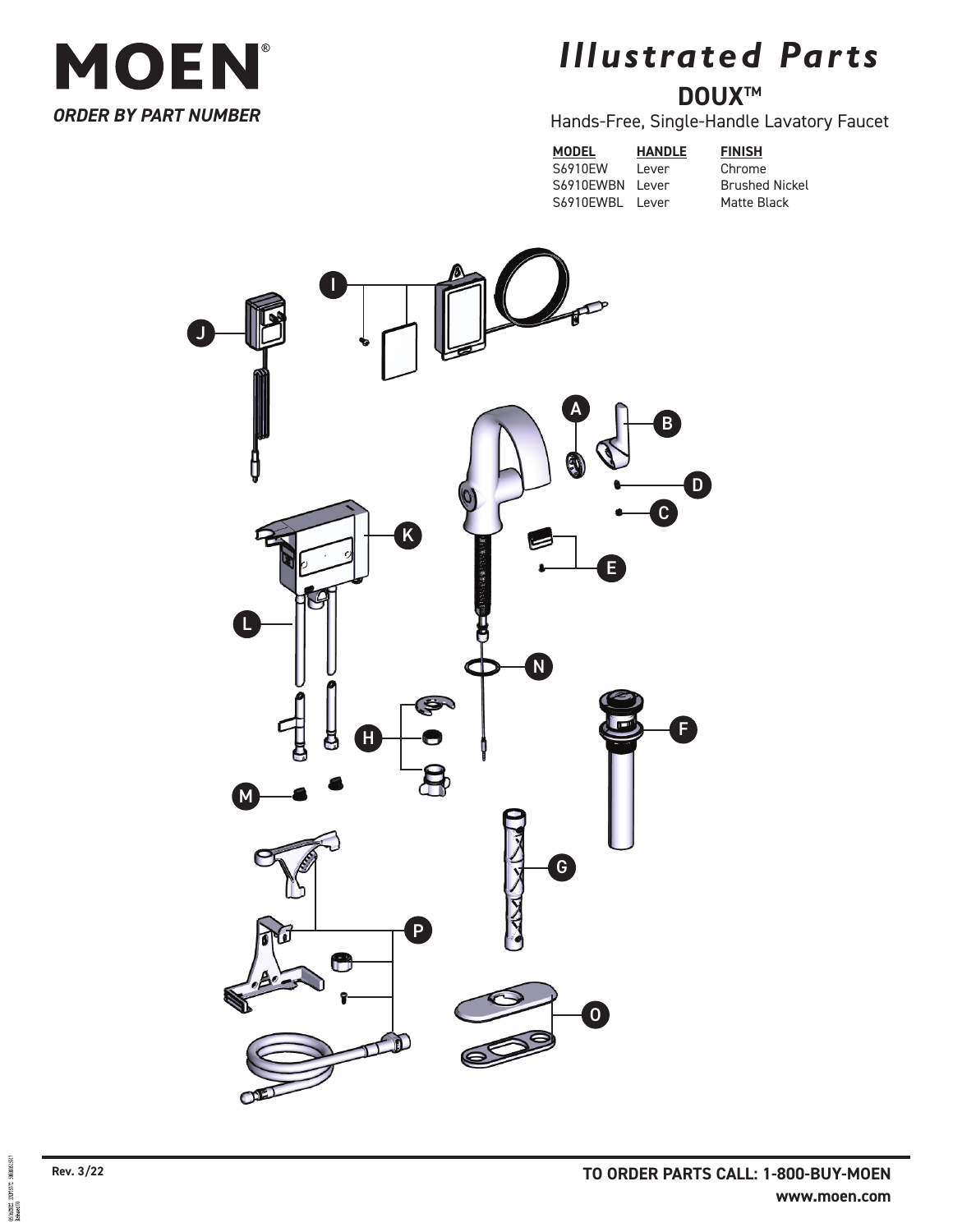

## *Illustrated Parts* **DOUXTM**

## Hands-Free, Single-Handle Lavatory Faucet

**MODEL HANDLE FINISH** S6910EW Lever Chrome<br>S6910EWBN Lever Brushed Nickel S6910EWBN Lever S6910EWBL Lever Matte Black